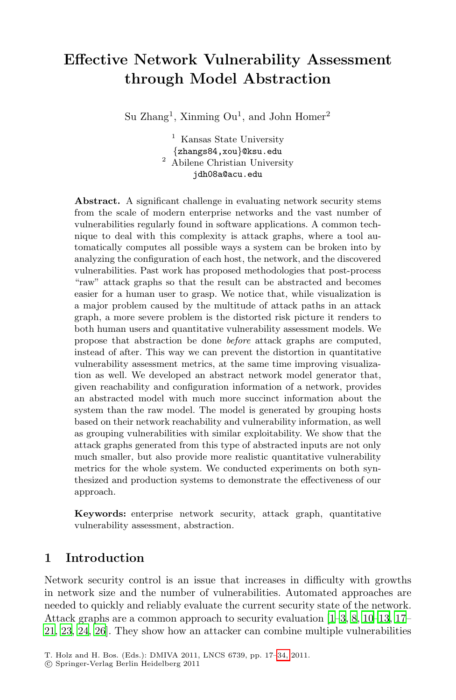# **Effective Network Vulnerability Assessment through Model Abstraction**

Su Zhang<sup>1</sup>, Xinming Ou<sup>1</sup>, and John Homer<sup>2</sup>

<sup>1</sup> Kansas State University {zhangs84,xou}@ksu.edu <sup>2</sup> Abilene Christian University jdh08a@acu.edu

**Abstract.** A significant challenge in evaluating network security stems from the scale of modern enterprise networks and the vast number of vulnerabilities regularly found in software applications. A common technique to deal with this complexity is attack graphs, where a tool automatically computes all possible ways a system can be broken into by analyzing the configuration of each host, the network, and the discovered vulnerabilities. Past work has proposed methodologies that post-process "raw" attack graphs so that the result can be abstracted and becomes easier for a human user to grasp. We notice that, while visualization is a major problem caused by the multitude of attack paths in an attack graph, a more severe problem is the distorted risk picture it renders to both human users and quantitative vulnerability assessment models. We propose that abstraction be done *before* attack graphs are computed, instead of after. This way we can prevent the distortion in quantitative vulnerability assessment metrics, at the same time improving visualization as well. We developed an abstract network model generator that, given reachability and configuration information of a network, provides an abstracted model with much more succinct information about the system than the raw model. The model is generated by grouping hosts based on their network reachability and vulnerability information, as well as grouping vulnerabilities with similar exploitability. We show that the attack graphs generated from this type of abstracted inputs are not only much smaller, but also provide more realistic quantitative vulnerability metrics for the whole system. We conducted experiments on both synthesized and production systems to demonstrate the effectiveness of our approach.

**Keywords:** enterprise network secu[rit](#page-15-0)[y,](#page-15-1) [at](#page-15-2)[tack](#page-16-0) [gr](#page-16-1)[aph](#page-16-2), quantitative vulnerability assessment, abstraction.

# **1 Introduction**

Network security control is an issue that increases in difficulty with growths in network size and the number of vulnerabilities. Automated approaches are needed to quickly and reliably evaluate the current security state of the network. Attack graphs are a common approach to security evaluation [1–3, 8, 10–13, 17– 21, 23, 24, 26]. They show how an attacker can combine multiple vulnerabilities

T. Holz and H. Bos. (Eds.): DMIVA 2011, LNCS 6739, pp. 17–34, 2011.

<sup>-</sup>c Springer-Verlag Berlin Heidelberg 2011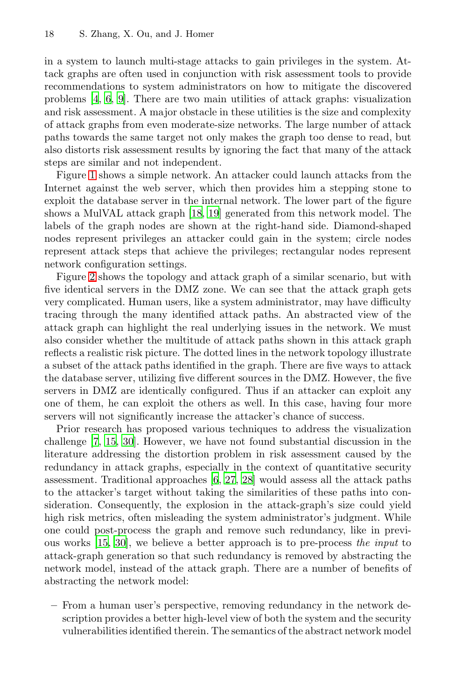in a system to launch multi-stage attacks to gain privileges in the system. Attack graphs are often used in conjunction with risk assessment tools to provide recommendations to system administrators on how to mitigate the discovered problems [4, 6, 9]. There are two main utilities of attack graphs: visualization and risk asse[ssm](#page-16-3)[ent](#page-16-4). A major obstacle in these utilities is the size and complexity of attack graphs from even moderate-size networks. The large number of attack paths towards the same target not only makes the graph too dense to read, but also distorts risk assessment results by ignoring the fact that many of the attack steps are similar and not independent.

Figure 1 shows a simple network. An attacker could launch attacks from the Internet against the web server, which then provides him a stepping stone to exploit the database server in the internal network. The lower part of the figure shows a MulVAL attack graph [18, 19] generated from this network model. The labels of the graph nodes are shown at the right-hand side. Diamond-shaped nodes represent privileges an attacker could gain in the system; circle nodes represent attack steps that achieve the privileges; rectangular nodes represent network configuration settings.

Figure 2 shows the topology and attack graph of a similar scenario, but with five identical servers in the DMZ zone. We can see that the attack graph gets very complicated. Human users, like a system administrator, may have difficulty tracing through the many identified attack paths. An abstracted view of the attack graph can highlight the real underlying issues in the network. We must [a](#page-17-0)lso consider whether the multitude of attack paths shown in this attack graph reflects a realistic risk picture. The dotted lines in the network topology illustrate a subset of the attack paths identified in the graph. There are five ways to attack the database serv[er](#page-15-3), [ut](#page-17-1)i[lizin](#page-17-2)g five different sources in the DMZ. However, the five servers in DMZ are identically configured. Thus if an attacker can exploit any one of them, he can exploit the others as well. In this case, having four more servers will not significantly increase the attacker's chance of success.

Prior research has proposed various techniques to address the visualization challenge [7, 15, 30]. However, we have not found substantial discussion in the literature addressing the distortion problem in risk assessment caused by the redundancy in attack graphs, especially in the context of quantitative security assessment. Traditional approaches [6, 27, 28] would assess all the attack paths to the attacker's target without taking the similarities of these paths into consideration. Consequently, the explosion in the attack-graph's size could yield high risk metrics, often misleading the system administrator's judgment. While one could post-process the graph and remove such redundancy, like in previous works [15, 30], we believe a better approach is to pre-process *the input* to attack-graph generation so that such redundancy is removed by abstracting the network model, instead of the attack graph. There are a number of benefits of abstracting the network model:

**–** From a human user's perspective, removing redundancy in the network description provides a better high-level view of both the system and the security vulnerabilities identified therein. The semantics of the abstract network model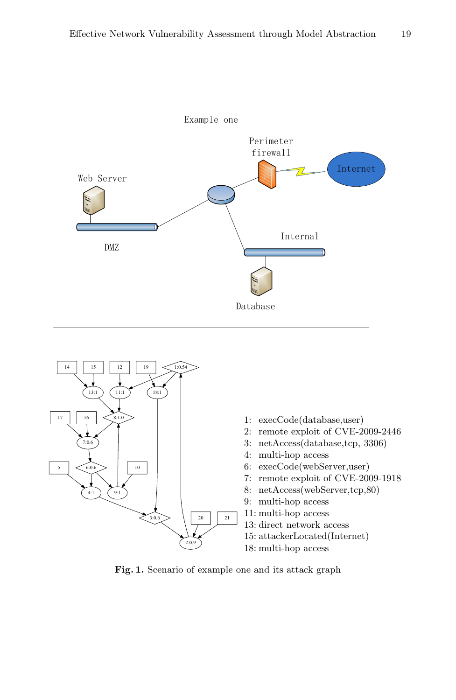



**Fig. 1.** Scenario of example one and its attack graph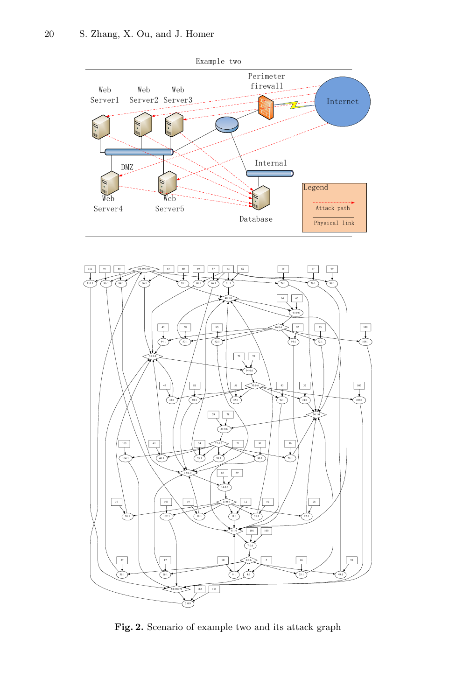



**Fig. 2.** Scenario of example two and its attack graph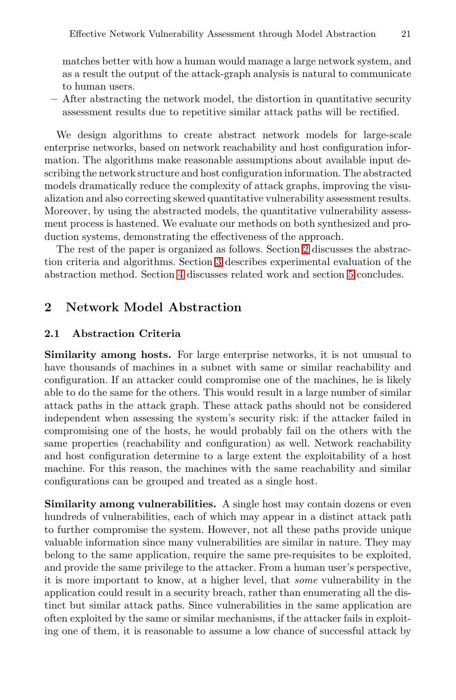matches better with how a human would manage a large network system, and as a result the output of the attack-graph analysis is natural to communicate to human users.

**–** After abstracting the network model, the distortion in quantitative security assessment results due to repetitive similar attack paths will be rectified.

We design algorithms to create abstract network models for large-scale enterprise networks, based on networ[k](#page-4-0) reachability and host configuration information. The algor[ith](#page-8-0)ms make reasonable assumptions about available input describing t[he](#page-12-0) network structure and host configur[at](#page-14-0)ion information. The abstracted models dramatically reduce the complexity of attack graphs, improving the visualization and also correcting skewed quantitative vulnerability assessment results. Moreover, by using the abstracted models, the quantitative vulnerability assessment process is hastened. We evaluate our methods on both synthesized and production systems, demonstrating the effectiveness of the approach.

<span id="page-4-0"></span>The rest of the paper is organized as follows. Section 2 discusses the abstraction criteria and algorithms. Section 3 describes experimental evaluation of the abstraction method. Section 4 discusses related work and section 5 concludes.

# **2 Network Model Abstraction**

#### **2.1 Abstraction Criteria**

**Similarity among hosts.** For large enterprise networks, it is not unusual to have thousands of machines in a subnet with same or similar reachability and configuration. If an attacker could compromise one of the machines, he is likely able to do the same for the others. This would result in a large number of similar attack paths in the attack graph. These attack paths should not be considered independent when assessing the system's security risk: if the attacker failed in compromising one of the hosts, he would probably fail on the others with the same properties (reachability and configuration) as well. Network reachability and host configuration determine to a large extent the exploitability of a host machine. For this reason, the machines with the same reachability and similar configurations can be grouped and treated as a single host.

**Similarity among vulnerabilities.** A single host may contain dozens or even hundreds of vulnerabilities, each of which may appear in a distinct attack path to further compromise the system. However, not all these paths provide unique valuable information since many vulnerabilities are similar in nature. They may belong to the same application, require the same pre-requisites to be exploited, and provide the same privilege to the attacker. From a human user's perspective, it is more important to know, at a higher level, that *some* vulnerability in the application could result in a security breach, rather than enumerating all the distinct but similar attack paths. Since vulnerabilities in the same application are often exploited by the same or similar mechanisms, if the attacker fails in exploiting one of them, it is reasonable to assume a low chance of successful attack by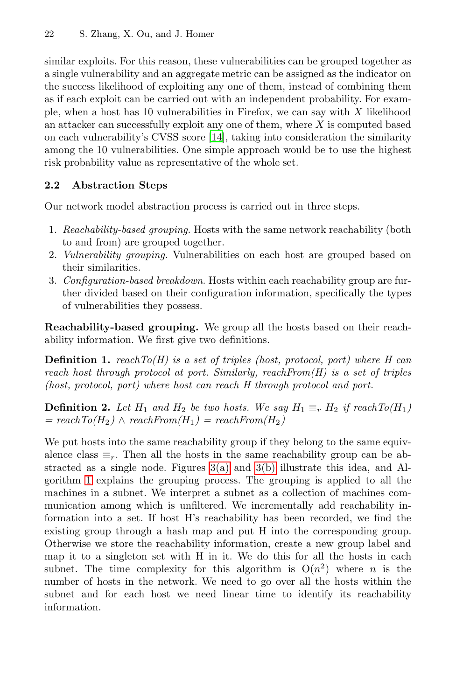similar exploits. For this reason, these vulnerabilities can be grouped together as a single vulnerability and an aggregate metric can be assigned as the indicator on the success likelihood of exploiting any one of them, instead of combining them as if each exploit can be carried out with an independent probability. For example, when a host has 10 vulnerabilities in Firefox, we can say with *X* likelihood an attacker can successfully exploit any one of them, where *X* is computed based on each vulnerability's CVSS score [14], taking into consideration the similarity among the 10 vulnerabilities. One simple approach would be to use the highest risk probability value as representative of the whole set.

## **2.2 Abstraction Steps**

Our network model abstraction process is carried out in three steps.

- 1. *Reachability-based grouping.* Hosts with the same network reachability (both to and from) are grouped together.
- 2. *Vulnerability grouping.* Vulnerabilities on each host are grouped based on their similarities.
- 3. *Configuration-based breakdown*. Hosts within each reachability group are further divided based on their configuration information, specifically the types of vulnerabilities they possess.

**Reachability-based grouping.** We group all the hosts based on their reachability information. We first give two definitions.

**Definition 1.** *reachTo(H) is a set of triples (host, protocol, port) where H can reach host throu[gh pr](#page-6-0)otoco[l at p](#page-6-1)ort. Similarly, reachFrom(H) is a set of triples (host, protocol, port) where host can reach H through protocol and port.*

**Definition 2.** Let  $H_1$  and  $H_2$  be two hosts. We say  $H_1 \equiv_r H_2$  if reach  $T_0(H_1)$  $=$  *reach* $To(H_2) \wedge$  *reachFrom* $(H_1) =$  *reachFrom* $(H_2)$ 

We put hosts into the same reachability group if they belong to the same equivalence class  $\equiv_r$ . Then all the hosts in the same reachability group can be abstracted as a single node. Figures  $3(a)$  and  $3(b)$  illustrate this idea, and Algorithm 1 explains the grouping process. The grouping is applied to all the machines in a subnet. We interpret a subnet as a collection of machines communication among which is unfiltered. We incrementally add reachability information into a set. If host H's reachability has been recorded, we find the existing group through a hash map and put H into the corresponding group. Otherwise we store the reachability information, create a new group label and map it to a singleton set with H in it. We do this for all the hosts in each subnet. The time complexity for this algorithm is  $O(n^2)$  where *n* is the number of hosts in the network. We need to go over all the hosts within the subnet and for each host we need linear time to identify its reachability information.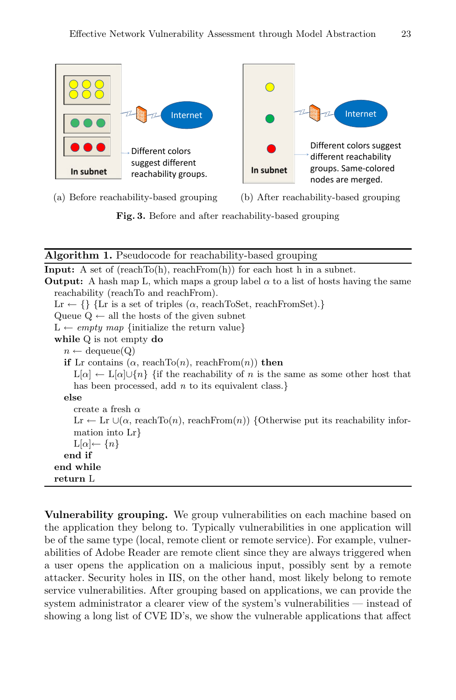<span id="page-6-0"></span>

(a) Before reachability-based grouping

<span id="page-6-1"></span>(b) After reachability-based grouping



### **Algorithm 1.** Pseudocode for reachability-based grouping

**Input:** A set of (reachTo(h), reachFrom(h)) for each host h in a subnet. **Output:** A hash map L, which maps a group label  $\alpha$  to a list of hosts having the same reachability (reachTo and reachFrom). Lr  $\leftarrow \{\}\$  {Lr is a set of triples  $(\alpha, \text{reachToSet}, \text{reachFromSet}).\}$ Queue  $Q \leftarrow$  all the hosts of the given subnet  $L \leftarrow \text{empty map } \{ \text{initialize the return value} \}$ **while** Q is not empty **do**  $n \leftarrow$  dequeue $(Q)$ **if** Lr contains  $(\alpha, \text{reachTo}(n), \text{reachFrom}(n))$  **then**  $L[\alpha] \leftarrow L[\alpha] \cup \{n\}$  {if the reachability of n is the same as some other host that has been processed, add *n* to its equivalent class.} **else** create a fresh  $\alpha$ Lr ← Lr  $\cup(\alpha$ , reachTo(n), reachFrom(n)) {Otherwise put its reachability information into Lr}  $L[\alpha] \leftarrow \{n\}$ **end if end while return** L

**Vulnerability grouping.** We group vulnerabilities on each machine based on the application they belong to. Typically vulnerabilities in one application will be of the same type (local, remote client or remote service). For example, vulnerabilities of Adobe Reader are remote client since they are always triggered when a user opens the application on a malicious input, possibly sent by a remote attacker. Security holes in IIS, on the other hand, most likely belong to remote service vulnerabilities. After grouping based on applications, we can provide the system administrator a clearer view of the system's vulnerabilities — instead of showing a long list of CVE ID's, we show the vulnerable applications that affect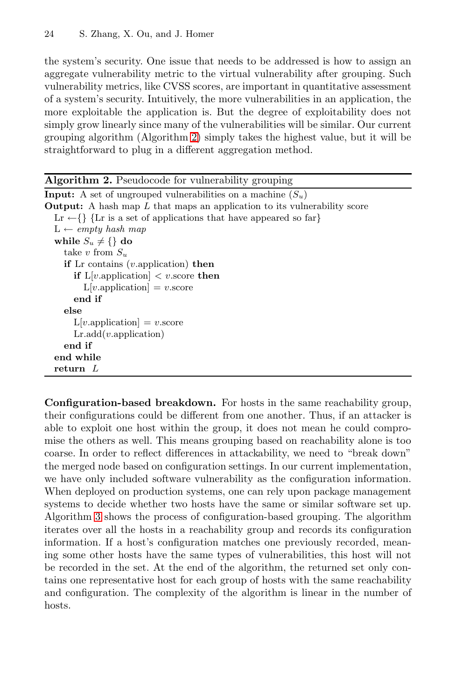#### 24 S. Zh[an](#page-7-0)g, X. Ou, and J. Homer

<span id="page-7-0"></span>the system's security. One issue that needs to be addressed is how to assign an aggregate vulnerability metric to the virtual vulnerability after grouping. Such vulnerability metrics, like CVSS scores, are important in quantitative assessment of a system's security. Intuitively, the more vulnerabilities in an application, the more exploitable the application is. But the degree of exploitability does not simply grow linearly since many of the vulnerabilities will be similar. Our current grouping algorithm (Algorithm 2) simply takes the highest value, but it will be straightforward to plug in a different aggregation method.

**Algorithm 2.** Pseudocode for vulnerability grouping

| <b>Input:</b> A set of ungrouped vulnerabilities on a machine $(S_u)$                       |
|---------------------------------------------------------------------------------------------|
| <b>Output:</b> A hash map L that maps an application to its vulnerability score             |
| $\text{Lr} \leftarrow \{\}\$ $\text{Lr}$ is a set of applications that have appeared so far |
| $L \leftarrow \text{empty hash map}$                                                        |
| while $S_u \neq \{\}$ do                                                                    |
| take v from $S_u$                                                                           |
| if Lr contains $(v.\text{application})$ then                                                |
| <b>if</b> $L[v.append] < v$ score then                                                      |
| $L[v.appendication] = v.score$                                                              |
| end if                                                                                      |
| else                                                                                        |
| $L[v.append] = v$ .score                                                                    |
| Lr.add(v.appendization)                                                                     |
| end if                                                                                      |
| end while                                                                                   |
| return L                                                                                    |

**Configuration-based breakdown.** For hosts in the same reachability group, their configurations could be different from one another. Thus, if an attacker is able to exploit one host within the group, it does not mean he could compromise the others as well. This means grouping based on reachability alone is too coarse. In order to reflect differences in attackability, we need to "break down" the merged node based on configuration settings. In our current implementation, we have only included software vulnerability as the configuration information. When deployed on production systems, one can rely upon package management systems to decide whether two hosts have the same or similar software set up. Algorithm 3 shows the process of configuration-based grouping. The algorithm iterates over all the hosts in a reachability group and records its configuration information. If a host's configuration matches one previously recorded, meaning some other hosts have the same types of vulnerabilities, this host will not be recorded in the set. At the end of the algorithm, the returned set only contains one representative host for each group of hosts with the same reachability and configuration. The complexity of the algorithm is linear in the number of hosts.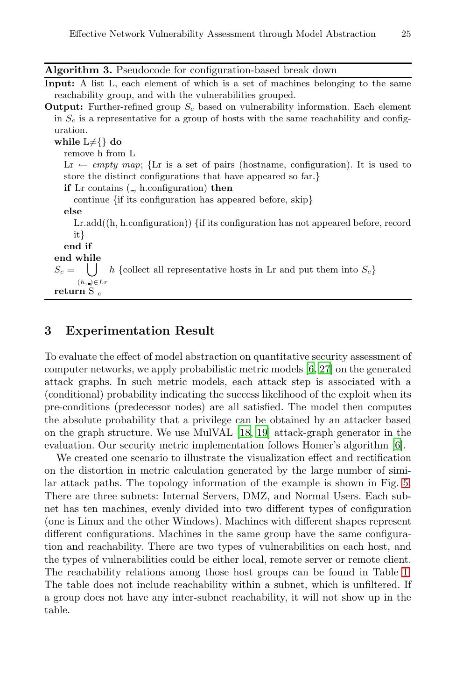## **Algorithm 3.** Pseudocode for configuration-based break down

**Input:** A list L, each element of which is a set of machines belonging to the same reachability group, and with the vulnerabilities grouped. **Output:** Further-refined group  $S_c$  based on vulnerability information. Each element in  $S_c$  is a representative for a group of hosts with the same reachability and configuration. **while** L≠{} do remove h from L Lr  $\leftarrow$  *empty map*; {Lr is a set of pairs (hostname, configuration). It is used to store the distinct configurations that have appeared so far.} **if** Lr contains ( , h.configuration) **then** continue {if its configuration has appeared before, skip} **else** Lr.add((h, h.configuration)) {if its configuration has not appeared before, record

<span id="page-8-0"></span>it} **end if end while**  $S_c = \begin{pmatrix} \end{pmatrix}$ (*h,* )∈*Lr* h {collect all representati[ve](#page-15-3) [hos](#page-17-1)ts in Lr and put them into  $S_c$ } **return** S *<sup>c</sup>*

## **3 Experimentat[io](#page-16-3)[n R](#page-16-4)esult**

To evaluate the effect of model abstraction on quantitativ[e](#page-15-3) [s](#page-15-3)ecurity assessment of computer networks, we apply probabilistic metric models [6, 27] on the generated attack graphs. In such metric models, each attack step [is](#page-9-0) associated with a (conditional) probability indicating the success likelihood of the exploit when its pre-conditions (predecessor nodes) are all satisfied. The model then computes the absolute probability that a privilege can be obtained by an attacker based on the graph structure. We use MulVAL [18, 19] attack-graph generator in the evaluation. Our security metric implementation follows Homer's algorithm [6].

We created one scenario to illustrate the visualization effect and rectification on the distortion in metric calculation generated by the l[ar](#page-10-0)ge number of similar attack paths. The topology information of the example is shown in Fig. 5. There are three subnets: Internal Servers, DMZ, and Normal Users. Each subnet has ten machines, evenly divided into two different types of configuration (one is Linux and the other Windows). Machines with different shapes represent different configurations. Machines in the same group have the same configuration and reachability. There are two types of vulnerabilities on each host, and the types of vulnerabilities could be either local, remote server or remote client. The reachability relations among those host groups can be found in Table 1. The table does not include reachability within a subnet, which is unfiltered. If a group does not have any inter-subnet reachability, it will not show up in the table.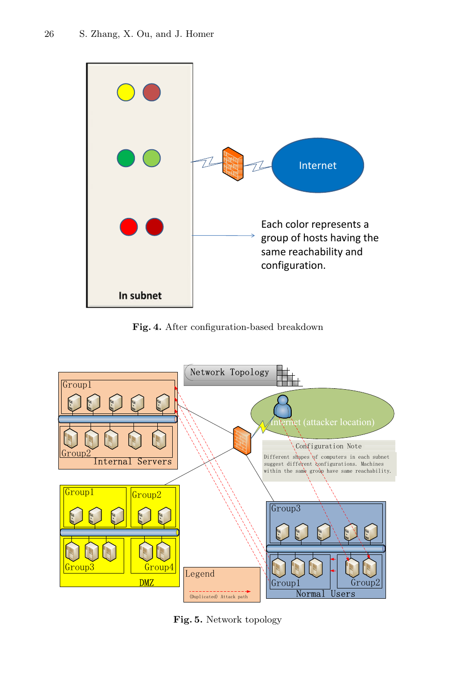

**Fig. 4.** After configuration-based breakdown



<span id="page-9-0"></span>**Fig. 5.** Network topology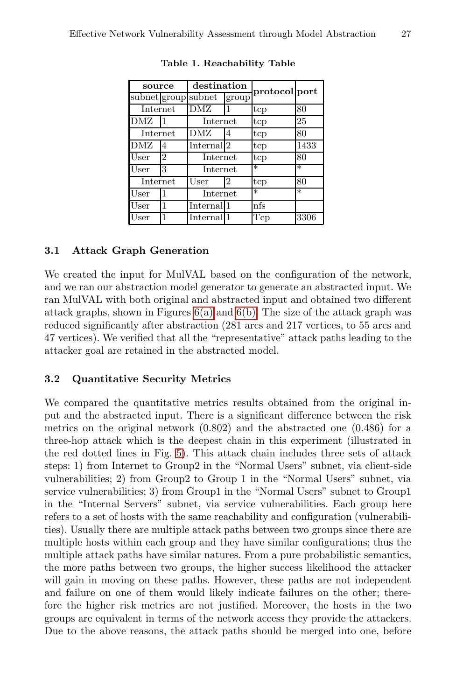<span id="page-10-0"></span>

| source       |                | destination           |       | protocol port |        |
|--------------|----------------|-----------------------|-------|---------------|--------|
| subnet group |                | subnet                | group |               |        |
| Internet     |                | DMZ                   | 1     | tcp           | 80     |
| DMZ          |                | Internet              |       | $_{\rm{tcp}}$ | 25     |
| Internet     |                | DMZ                   | 4     | $_{\rm{tcp}}$ | 80     |
| DMZ          | 4              | Internal <sup>2</sup> |       | tcp           | 1433   |
| User         | $\overline{2}$ | Internet              |       | tcp           | 80     |
| User         | 3              | Internet              |       | $\ast$        | $\ast$ |
| Internet     |                | User                  | 2     | tcp           | 80     |
| User         | 1              | Internet              |       | $^\ast$       | $\ast$ |
| User         | 1              | Internal <sup>1</sup> |       | nfs           |        |
| User         |                | Internall1            |       | Tcp           | 3306   |

**Table 1. Reachability Table**

### **3.1 Attack Graph Generation**

We created the input for MulVAL based on the configuration of the network, and we ran our abstraction model generator to generate an abstracted input. We ran MulVAL with both original and abstracted input and obtained two different attack graphs, shown in Figures  $6(a)$  and  $6(b)$ . The size of the attack graph was reduced significantly after abstraction (281 arcs and 217 vertices, to 55 arcs and 47 vertices). We verified that all the "representative" attack paths leading to the attacker [go](#page-9-0)al are retained in the abstracted model.

## **3.2 Quantitative Security Metrics**

We compared the quantitative metrics results obtained from the original input and the abstracted input. There is a significant difference between the risk metrics on the original network (0.802) and the abstracted one (0.486) for a three-hop attack which is the deepest chain in this experiment (illustrated in the red dotted lines in Fig. 5). This attack chain includes three sets of attack steps: 1) from Internet to Group2 in the "Normal Users" subnet, via client-side vulnerabilities; 2) from Group2 to Group 1 in the "Normal Users" subnet, via service vulnerabilities; 3) from Group1 in the "Normal Users" subnet to Group1 in the "Internal Servers" subnet, via service vulnerabilities. Each group here refers to a set of hosts with the same reachability and configuration (vulnerabilities). Usually there are multiple attack paths between two groups since there are multiple hosts within each group and they have similar configurations; thus the multiple attack paths have similar natures. From a pure probabilistic semantics, the more paths between two groups, the higher success likelihood the attacker will gain in moving on these paths. However, these paths are not independent and failure on one of them would likely indicate failures on the other; therefore the higher risk metrics are not justified. Moreover, the hosts in the two groups are equivalent in terms of the network access they provide the attackers. Due to the above reasons, the attack paths should be merged into one, before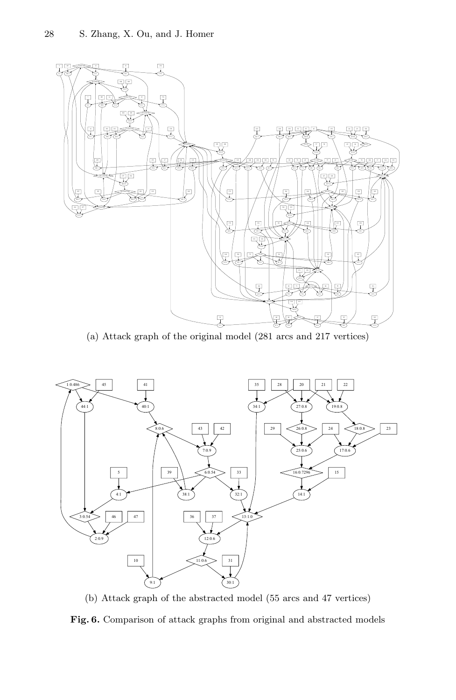

(a) Attack graph of the original model (281 arcs and 217 vertices)

<span id="page-11-0"></span>

(b) Attack graph of the abstracted model (55 arcs and 47 vertices)

**Fig. 6.** Comparison of attack graphs from original and abstracted models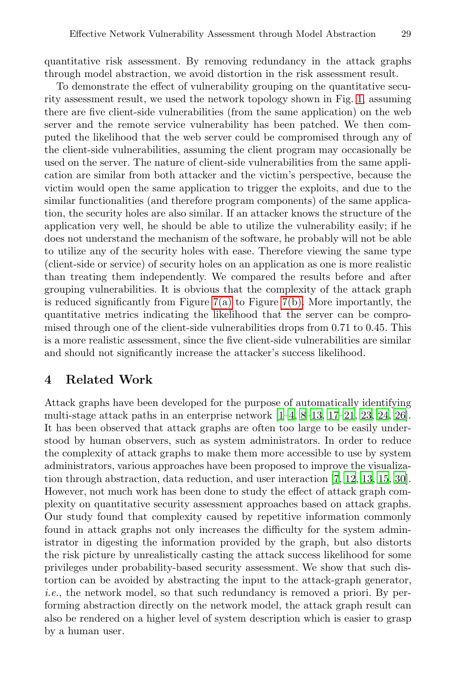quantitative risk assessment. By removing redundancy in the attack graphs through model abstraction, we avoid distortion in the risk assessment result.

To demonstrate the effect of vulnerability grouping on the quantitative security assessment result, we used the network topology shown in Fig. 1, assuming there are five client-side vulnerabilities (from the same application) on the web server and the remote service vulnerability has been patched. We then computed the likelihood that the web server could be compromised through any of the client-side vulnerabilities, assuming the client program may occasionally be used on the server. The nature of client-side vulnerabilities from the same application are similar from both attacker and the victim's perspective, because the victim would open the same application to trigger the exploits, and due to the similar functiona[lities](#page-13-0) (and ther[efore](#page-13-1) program components) of the same application, the security holes are also similar. If an attacker knows the structure of the application very well, he should be able to utilize the vulnerability easily; if he does not understand the mechanism of the software, he probably will not be able to utilize any of the security holes with ease. Therefore viewing the same type (client-side or service) of security holes on an application as one is more realistic than treating them independently. We compared the results before and after grouping vulnerabilities. It is obvious that the complexity of the attack graph is reduced significantly from Figure  $7(a)$  to Figure  $7(b)$ . More importantly, the quantitative metrics indicating [t](#page-15-0)[he](#page-15-4) [li](#page-15-2)[keli](#page-16-1)[hoo](#page-16-2)[d th](#page-16-6)[at](#page-16-7) [the](#page-16-8) [ser](#page-16-9)ver can be compromised through one of the client-side vulnerabilities drops from 0.71 to 0.45. This is a more realistic assessment, since the five client-side vulnerabilities are similar and should not significantly increase the attacker's success likelihood.

## <span id="page-12-0"></span>**4 Related Work**

Attack graphs have been developed for the purpose of automatically identifying multi-stage attack paths in an enterprise network [1–4, 8–13, 17–21, 23, 24, 26]. It has been observed that attack graphs are often too large to be easily understood by human observers, such as system administrators. In order to reduce the complexity of attack graphs to make them more accessible to use by system administrators, various approaches have been proposed to improve the visualization through abstraction, data reduction, and user interaction [7, 12, 13, 15, 30]. However, not much work has been done to study the effect of attack graph complexity on quantitative security assessment approaches based on attack graphs. Our study found that complexity caused by repetitive information commonly found in attack graphs not only increases the difficulty for the system administrator in digesting the information provided by the graph, but also distorts the risk picture by unrealistically casting the attack success likelihood for some privileges under probability-based security assessment. We show that such distortion can be avoided by abstracting the input to the attack-graph generator, *i.e.*, the network model, so that such redundancy is removed a priori. By performing abstraction directly on the network model, the attack graph result can also be rendered on a higher level of system description which is easier to grasp by a human user.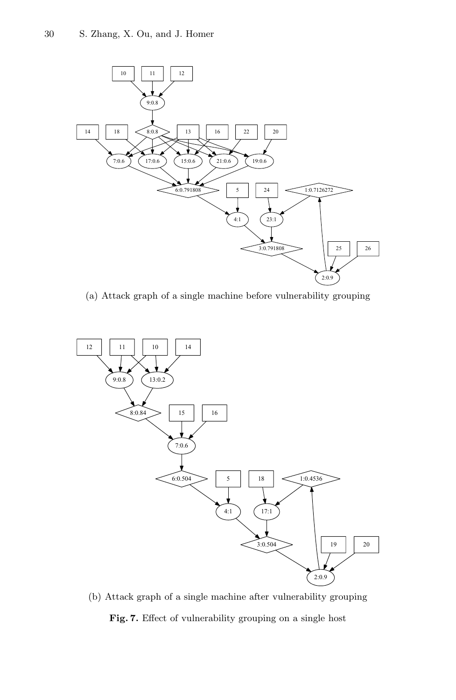<span id="page-13-0"></span>

(a) Attack graph of a single machine before vulnerability grouping

<span id="page-13-1"></span>

(b) Attack graph of a single machine after vulnerability grouping **Fig. 7.** Effect of vulnerability grouping on a single host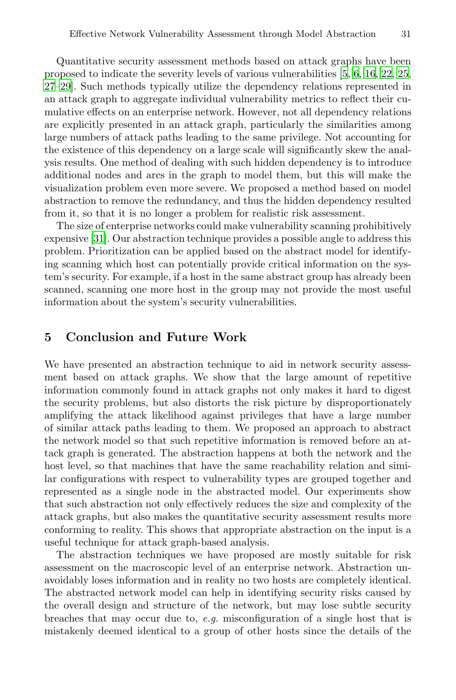Quantitative security assessment methods based on attack graphs have been proposed to indicate the severity levels of various vulnerabilities [5, 6, 16, 22, 25, 27–29]. Such methods typically utilize the dependency relations represented in an attack graph to aggregate individual vulnerability metrics to reflect their cumulative effects on an enterprise network. However, not all dependency relations are explicitly presented in an attack graph, particularly the similarities among large numbers of attack paths leading to the same privilege. Not accounting for the existence of this dependency on a large scale will significantly skew the analysis results. One method of dealing with such hidden dependency is to introduce additional nodes and arcs in the graph to model them, but this will make the visualization problem even more severe. We proposed a method based on model abstraction to remove the redundancy, and thus the hidden dependency resulted from it, so that it is no longer a problem for realistic risk assessment.

<span id="page-14-0"></span>The size of enterprise networks could make vulnerability scanning prohibitively expensive [31]. Our abstraction technique provides a possible angle to address this problem. Prioritization can be applied based on the abstract model for identifying scanning which host can potentially provide critical information on the system's security. For example, if a host in the same abstract group has already been scanned, scanning one more host in the group may not provide the most useful information about the system's security vulnerabilities.

# **5 Conclusion and Future Work**

We have presented an abstraction technique to aid in network security assessment based on attack graphs. We show that the large amount of repetitive information commonly found in attack graphs not only makes it hard to digest the security problems, but also distorts the risk picture by disproportionately amplifying the attack likelihood against privileges that have a large number of similar attack paths leading to them. We proposed an approach to abstract the network model so that such repetitive information is removed before an attack graph is generated. The abstraction happens at both the network and the host level, so that machines that have the same reachability relation and similar configurations with respect to vulnerability types are grouped together and represented as a single node in the abstracted model. Our experiments show that such abstraction not only effectively reduces the size and complexity of the attack graphs, but also makes the quantitative security assessment results more conforming to reality. This shows that appropriate abstraction on the input is a useful technique for attack graph-based analysis.

The abstraction techniques we have proposed are mostly suitable for risk assessment on the macroscopic level of an enterprise network. Abstraction unavoidably loses information and in reality no two hosts are completely identical. The abstracted network model can help in identifying security risks caused by the overall design and structure of the network, but may lose subtle security breaches that may occur due to, *e.g.* misconfiguration of a single host that is mistakenly deemed identical to a group of other hosts since the details of the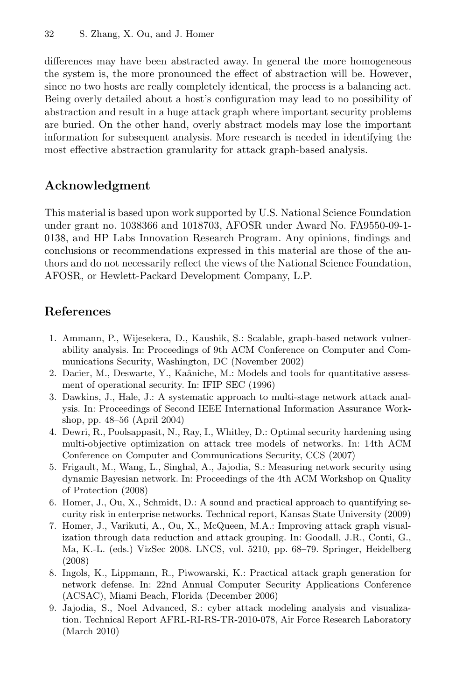differences may have been abstracted away. In general the more homogeneous the system is, the more pronounced the effect of abstraction will be. However, since no two hosts are really completely identical, the process is a balancing act. Being overly detailed about a host's configuration may lead to no possibility of abstraction and result in a huge attack graph where important security problems are buried. On the other hand, overly abstract models may lose the important information for subsequent analysis. More research is needed in identifying the most effective abstraction granularity for attack graph-based analysis.

# **Acknowledgment**

This material is based upon work supported by U.S. National Science Foundation under grant no. 1038366 and 1018703, AFOSR under Award No. FA9550-09-1- 0138, and HP Labs Innovation Research Program. Any opinions, findings and conclusions or recommendations expressed in this material are those of the authors and do not necessarily reflect the views of the National Science Foundation, AFOSR, or Hewlett-Packard Development Company, L.P.

# **References**

- <span id="page-15-0"></span>1. Ammann, P., Wijesekera, D., Kaushik, S.: Scalable, graph-based network vulnerability analysis. In: Proceedings of 9th ACM Conference on Computer and Communications Security, Washington, DC (November 2002)
- 2. Dacier, M., Deswarte, Y., Kaâniche, M.: Models and tools for quantitative assessment of operational security. In: IFIP SEC (1996)
- <span id="page-15-1"></span>3. Dawkins, J., Hale, J.: A systematic approach to multi-stage network attack analysis. In: Proceedings of Second IEEE International Information Assurance Workshop, pp. 48–56 (April 2004)
- <span id="page-15-4"></span>4. Dewri, R., Poolsappasit, N., Ray, I., Whitley, D.: Optimal security hardening using multi-objective optimization on attack tree models of networks. In: 14th ACM Conference on Computer and Communications Security, CCS (2007)
- 5. Frigault, M., Wang, L., Singhal, A., Jajodia, S.: Measuring network security using dynamic Bayesian network. In: Proceedings of the 4th ACM Workshop on Quality of Protection (2008)
- <span id="page-15-3"></span>6. Homer, J., Ou, X., Schmidt, D.: A sound and practical approach to quantifying security risk in enterprise networks. Technical report, Kansas State University (2009)
- 7. Homer, J., Varikuti, A., Ou, X., McQueen, M.A.: Improving attack graph visualization through data reduction and attack grouping. In: Goodall, J.R., Conti, G., Ma, K.-L. (eds.) VizSec 2008. LNCS, vol. 5210, pp. 68–79. Springer, Heidelberg (2008)
- <span id="page-15-2"></span>8. Ingols, K., Lippmann, R., Piwowarski, K.: Practical attack graph generation for network defense. In: 22nd Annual Computer Security Applications Conference (ACSAC), Miami Beach, Florida (December 2006)
- 9. Jajodia, S., Noel Advanced, S.: cyber attack modeling analysis and visualization. Technical Report AFRL-RI-RS-TR-2010-078, Air Force Research Laboratory (March 2010)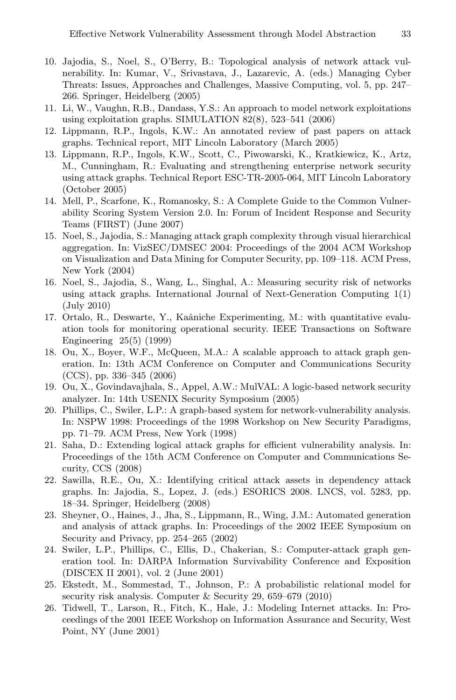- <span id="page-16-0"></span>10. Jajodia, S., Noel, S., O'Berry, B.: Topological analysis of network attack vulnerability. In: Kumar, V., Srivastava, J., Lazarevic, A. (eds.) Managing Cyber Threats: Issues, Approaches and Challenges, Massive Computing, vol. 5, pp. 247– 266. Springer, Heidelberg (2005)
- 11. Li, W., Vaughn, R.B., Dandass, Y.S.: An approach to model network exploitations using exploitation graphs. SIMULATION 82(8), 523–541 (2006)
- 12. Lippmann, R.P., Ingols, K.W.: An annotated review of past papers on attack graphs. Technical report, MIT Lincoln Laboratory (March 2005)
- <span id="page-16-1"></span>13. Lippmann, R.P., Ingols, K.W., Scott, C., Piwowarski, K., Kratkiewicz, K., Artz, M., Cunningham, R.: Evaluating and strengthening enterprise network security using attack graphs. Technical Report ESC-TR-2005-064, MIT Lincoln Laboratory (October 2005)
- <span id="page-16-5"></span>14. Mell, P., Scarfone, K., Romanosky, S.: A Complete Guide to the Common Vulnerability Scoring System Version 2.0. In: Forum of Incident Response and Security Teams (FIRST) (June 2007)
- 15. Noel, S., Jajodia, S.: Managing attack graph complexity through visual hierarchical aggregation. In: VizSEC/DMSEC 2004: Proceedings of the 2004 ACM Workshop on Visualization and Data Mining for Computer Security, pp. 109–118. ACM Press, New York (2004)
- 16. Noel, S., Jajodia, S., Wang, L., Singhal, A.: Measuring security risk of networks using attack graphs. International Journal of Next-Generation Computing 1(1) (July 2010)
- <span id="page-16-2"></span>17. Ortalo, R., Deswarte, Y., Kaˆaniche Experimenting, M.: with quantitative evaluation tools for monitoring operational security. IEEE Transactions on Software Engineering 25(5) (1999)
- <span id="page-16-3"></span>18. Ou, X., Boyer, W.F., McQueen, M.A.: A scalable approach to attack graph generation. In: 13th ACM Conference on Computer and Communications Security (CCS), pp. 336–345 (2006)
- <span id="page-16-4"></span>19. Ou, X., Govindavajhala, S., Appel, A.W.: MulVAL: A logic-based network security analyzer. In: 14th USENIX Security Symposium (2005)
- 20. Phillips, C., Swiler, L.P.: A graph-based system for network-vulnerability analysis. In: NSPW 1998: Proceedings of the 1998 Workshop on New Security Paradigms, pp. 71–79. ACM Press, New York (1998)
- <span id="page-16-6"></span>21. Saha, D.: Extending logical attack graphs for efficient vulnerability analysis. In: Proceedings of the 15th ACM Conference on Computer and Communications Security, CCS (2008)
- 22. Sawilla, R.E., Ou, X.: Identifying critical attack assets in dependency attack graphs. In: Jajodia, S., Lopez, J. (eds.) ESORICS 2008. LNCS, vol. 5283, pp. 18–34. Springer, Heidelberg (2008)
- <span id="page-16-7"></span>23. Sheyner, O., Haines, J., Jha, S., Lippmann, R., Wing, J.M.: Automated generation and analysis of attack graphs. In: Proceedings of the 2002 IEEE Symposium on Security and Privacy, pp. 254–265 (2002)
- <span id="page-16-8"></span>24. Swiler, L.P., Phillips, C., Ellis, D., Chakerian, S.: Computer-attack graph generation tool. In: DARPA Information Survivability Conference and Exposition (DISCEX II 2001), vol. 2 (June 2001)
- 25. Ekstedt, M., Sommestad, T., Johnson, P.: A probabilistic relational model for security risk analysis. Computer & Security 29, 659–679 (2010)
- <span id="page-16-9"></span>26. Tidwell, T., Larson, R., Fitch, K., Hale, J.: Modeling Internet attacks. In: Proceedings of the 2001 IEEE Workshop on Information Assurance and Security, West Point, NY (June 2001)